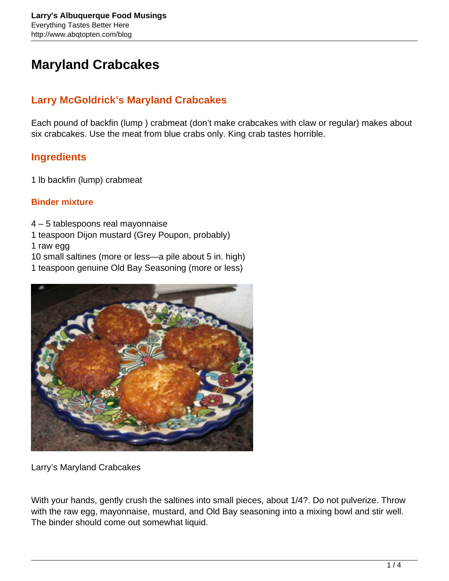# **Maryland Crabcakes**

# **Larry McGoldrick's Maryland Crabcakes**

Each pound of backfin (lump ) crabmeat (don't make crabcakes with claw or regular) makes about six crabcakes. Use the meat from blue crabs only. King crab tastes horrible.

### **Ingredients**

1 lb backfin (lump) crabmeat

#### **Binder mixture**

4 – 5 tablespoons real mayonnaise

1 teaspoon Dijon mustard (Grey Poupon, probably)

1 raw egg

10 small saltines (more or less—a pile about 5 in. high)

1 teaspoon genuine Old Bay Seasoning (more or less)



Larry's Maryland Crabcakes

With your hands, gently crush the saltines into small pieces, about 1/4?. Do not pulverize. Throw with the raw egg, mayonnaise, mustard, and Old Bay seasoning into a mixing bowl and stir well. The binder should come out somewhat liquid.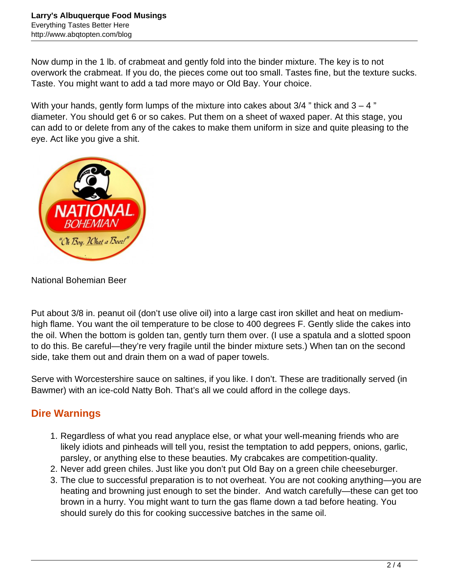Now dump in the 1 lb. of crabmeat and gently fold into the binder mixture. The key is to not overwork the crabmeat. If you do, the pieces come out too small. Tastes fine, but the texture sucks. Taste. You might want to add a tad more mayo or Old Bay. Your choice.

With your hands, gently form lumps of the mixture into cakes about  $3/4$  " thick and  $3 - 4$  " diameter. You should get 6 or so cakes. Put them on a sheet of waxed paper. At this stage, you can add to or delete from any of the cakes to make them uniform in size and quite pleasing to the eye. Act like you give a shit.



National Bohemian Beer

Put about 3/8 in. peanut oil (don't use olive oil) into a large cast iron skillet and heat on mediumhigh flame. You want the oil temperature to be close to 400 degrees F. Gently slide the cakes into the oil. When the bottom is golden tan, gently turn them over. (I use a spatula and a slotted spoon to do this. Be careful—they're very fragile until the binder mixture sets.) When tan on the second side, take them out and drain them on a wad of paper towels.

Serve with Worcestershire sauce on saltines, if you like. I don't. These are traditionally served (in Bawmer) with an ice-cold Natty Boh. That's all we could afford in the college days.

## **Dire Warnings**

- 1. Regardless of what you read anyplace else, or what your well-meaning friends who are likely idiots and pinheads will tell you, resist the temptation to add peppers, onions, garlic, parsley, or anything else to these beauties. My crabcakes are competition-quality.
- 2. Never add green chiles. Just like you don't put Old Bay on a green chile cheeseburger.
- 3. The clue to successful preparation is to not overheat. You are not cooking anything—you are heating and browning just enough to set the binder. And watch carefully—these can get too brown in a hurry. You might want to turn the gas flame down a tad before heating. You should surely do this for cooking successive batches in the same oil.